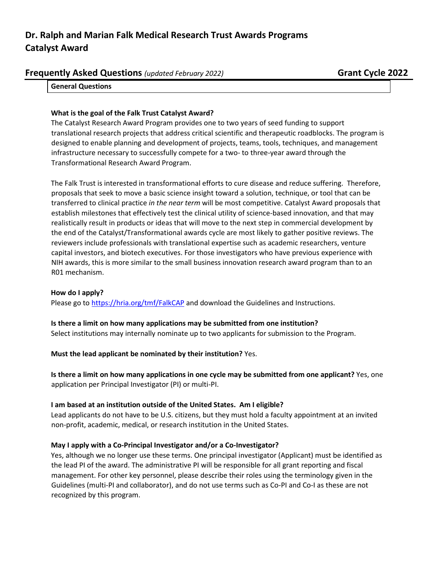# **Frequently Asked Questions** *(updated February 2022)* Grant Cycle 2022

#### **General Questions**

#### **What is the goal of the Falk Trust Catalyst Award?**

The Catalyst Research Award Program provides one to two years of seed funding to support translational research projects that address critical scientific and therapeutic roadblocks. The program is designed to enable planning and development of projects, teams, tools, techniques, and management infrastructure necessary to successfully compete for a two- to three-year award through the Transformational Research Award Program.

The Falk Trust is interested in transformational efforts to cure disease and reduce suffering. Therefore, proposals that seek to move a basic science insight toward a solution, technique, or tool that can be transferred to clinical practice *in the near term* will be most competitive. Catalyst Award proposals that establish milestones that effectively test the clinical utility of science-based innovation, and that may realistically result in products or ideas that will move to the next step in commercial development by the end of the Catalyst/Transformational awards cycle are most likely to gather positive reviews. The reviewers include professionals with translational expertise such as academic researchers, venture capital investors, and biotech executives. For those investigators who have previous experience with NIH awards, this is more similar to the small business innovation research award program than to an R01 mechanism.

#### **How do I apply?**

Please g[o](https://hria.org/tmf/FalkCAP) to <https://hria.org/tmf/FalkCAP> and download the Guidelines and Instructions.

#### **Is there a limit on how many applications may be submitted from one institution?**

Select institutions may internally nominate up to two applicants for submission to the Program.

**Must the lead applicant be nominated by their institution?** Yes.

**Is there a limit on how many applications in one cycle may be submitted from one applicant?** Yes, one application per Principal Investigator (PI) or multi-PI.

### **I am based at an institution outside of the United States. Am I eligible?**

Lead applicants do not have to be U.S. citizens, but they must hold a faculty appointment at an invited non-profit, academic, medical, or research institution in the United States.

### **May I apply with a Co-Principal Investigator and/or a Co-Investigator?**

Yes, although we no longer use these terms. One principal investigator (Applicant) must be identified as the lead PI of the award. The administrative PI will be responsible for all grant reporting and fiscal management. For other key personnel, please describe their roles using the terminology given in the Guidelines (multi-PI and collaborator), and do not use terms such as Co-PI and Co-I as these are not recognized by this program.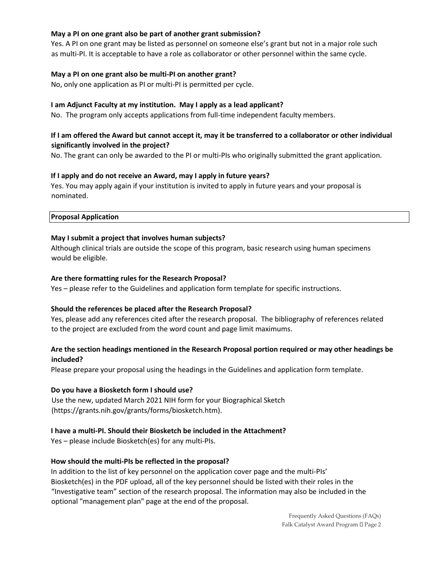### **May a PI on one grant also be part of another grant submission?**

Yes. A PI on one grant may be listed as personnel on someone else's grant but not in a major role such as multi-PI. It is acceptable to have a role as collaborator or other personnel within the same cycle.

### **May a PI on one grant also be multi-PI on another grant?**

No, only one application as PI or multi-PI is permitted per cycle.

## **I am Adjunct Faculty at my institution. May I apply as a lead applicant?**

No. The program only accepts applications from full-time independent faculty members.

# **If I am offered the Award but cannot accept it, may it be transferred to a collaborator or other individual significantly involved in the project?**

No. The grant can only be awarded to the PI or multi-PIs who originally submitted the grant application.

### **If I apply and do not receive an Award, may I apply in future years?**

Yes. You may apply again if your institution is invited to apply in future years and your proposal is nominated.

### **Proposal Application**

### **May I submit a project that involves human subjects?**

Although clinical trials are outside the scope of this program, basic research using human specimens would be eligible.

### **Are there formatting rules for the Research Proposal?**

Yes – please refer to the Guidelines and application form template for specific instructions.

# **Should the references be placed after the Research Proposal?**

Yes, please add any references cited after the research proposal. The bibliography of references related to the project are excluded from the word count and page limit maximums.

### **Are the section headings mentioned in the Research Proposal portion required or may other headings be included?**

Please prepare your proposal using the headings in the Guidelines and application form template.

### **Do you have a Biosketch form I should use?**

Use the new, updated March 2021 NIH form for your Biographical Sketch (https://grants.nih.gov/grants/forms/biosketch.htm).

# **I have a multi-PI. Should their Biosketch be included in the Attachment?**

Yes – please include Biosketch(es) for any multi-PIs.

# **How should the multi-PIs be reflected in the proposal?**

In addition to the list of key personnel on the application cover page and the multi-PIs' Biosketch(es) in the PDF upload, all of the key personnel should be listed with their roles in the "Investigative team" section of the research proposal. The information may also be included in the optional "management plan" page at the end of the proposal.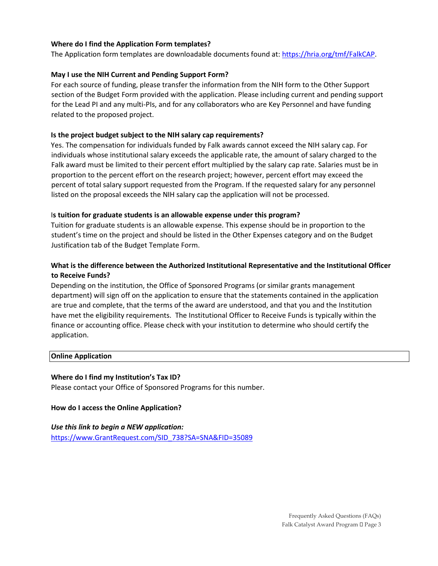### **Where do I find the Application Form templates?**

The Application form templates are downloadable documents found at: [https://hria.org/tmf/FalkCAP.](https://hria.org/tmf/FalkCAP)

### **May I use the NIH Current and Pending Support Form?**

For each source of funding, please transfer the information from the NIH form to the Other Support section of the Budget Form provided with the application. Please including current and pending support for the Lead PI and any multi-PIs, and for any collaborators who are Key Personnel and have funding related to the proposed project.

### **Is the project budget subject to the NIH salary cap requirements?**

Yes. The compensation for individuals funded by Falk awards cannot exceed the NIH salary cap. For individuals whose institutional salary exceeds the applicable rate, the amount of salary charged to the Falk award must be limited to their percent effort multiplied by the salary cap rate. Salaries must be in proportion to the percent effort on the research project; however, percent effort may exceed the percent of total salary support requested from the Program. If the requested salary for any personnel listed on the proposal exceeds the NIH salary cap the application will not be processed.

### I**s tuition for graduate students is an allowable expense under this program?**

Tuition for graduate students is an allowable expense. This expense should be in proportion to the student's time on the project and should be listed in the Other Expenses category and on the Budget Justification tab of the Budget Template Form.

# **What is the difference between the Authorized Institutional Representative and the Institutional Officer to Receive Funds?**

Depending on the institution, the Office of Sponsored Programs (or similar grants management department) will sign off on the application to ensure that the statements contained in the application are true and complete, that the terms of the award are understood, and that you and the Institution have met the eligibility requirements. The Institutional Officer to Receive Funds is typically within the finance or accounting office. Please check with your institution to determine who should certify the application.

### **Online Application**

### **Where do I find my Institution's Tax ID?**

Please contact your Office of Sponsored Programs for this number.

### **How do I access the Online Application?**

# *Use this link to begin a NEW application:*  [https://www.GrantRequest.com/SID\\_738?SA=SNA&FID=35089](https://www.grantrequest.com/SID_738?SA=SNA&FID=35089)